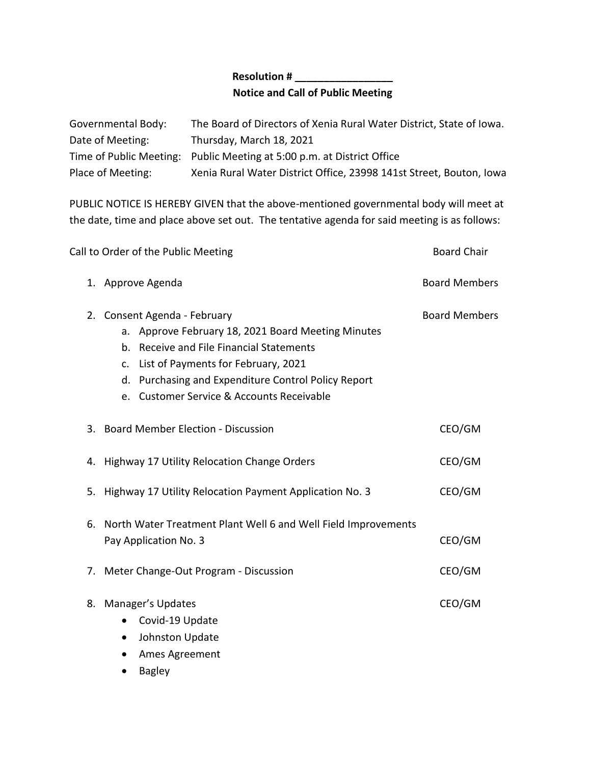## **Resolution # \_\_\_\_\_\_\_\_\_\_\_\_\_\_\_\_\_ Notice and Call of Public Meeting**

| Governmental Body: | The Board of Directors of Xenia Rural Water District, State of Iowa.   |
|--------------------|------------------------------------------------------------------------|
| Date of Meeting:   | Thursday, March 18, 2021                                               |
|                    | Time of Public Meeting: Public Meeting at 5:00 p.m. at District Office |
| Place of Meeting:  | Xenia Rural Water District Office, 23998 141st Street, Bouton, Iowa    |

PUBLIC NOTICE IS HEREBY GIVEN that the above-mentioned governmental body will meet at the date, time and place above set out. The tentative agenda for said meeting is as follows:

| Call to Order of the Public Meeting | <b>Board Chair</b>                                                                                                                                                                                                                                                        |                      |
|-------------------------------------|---------------------------------------------------------------------------------------------------------------------------------------------------------------------------------------------------------------------------------------------------------------------------|----------------------|
|                                     | 1. Approve Agenda                                                                                                                                                                                                                                                         | <b>Board Members</b> |
| 2.                                  | Consent Agenda - February<br>a. Approve February 18, 2021 Board Meeting Minutes<br>b. Receive and File Financial Statements<br>c. List of Payments for February, 2021<br>d. Purchasing and Expenditure Control Policy Report<br>e. Customer Service & Accounts Receivable | <b>Board Members</b> |
|                                     | 3. Board Member Election - Discussion                                                                                                                                                                                                                                     | CEO/GM               |
|                                     | 4. Highway 17 Utility Relocation Change Orders                                                                                                                                                                                                                            | CEO/GM               |
| 5.                                  | Highway 17 Utility Relocation Payment Application No. 3                                                                                                                                                                                                                   | CEO/GM               |
| 6.                                  | North Water Treatment Plant Well 6 and Well Field Improvements<br>Pay Application No. 3                                                                                                                                                                                   | CEO/GM               |
| 7.                                  | Meter Change-Out Program - Discussion                                                                                                                                                                                                                                     | CEO/GM               |
|                                     | 8. Manager's Updates<br>Covid-19 Update<br>$\bullet$<br>Johnston Update<br>٠<br>Ames Agreement                                                                                                                                                                            | CEO/GM               |

• Bagley